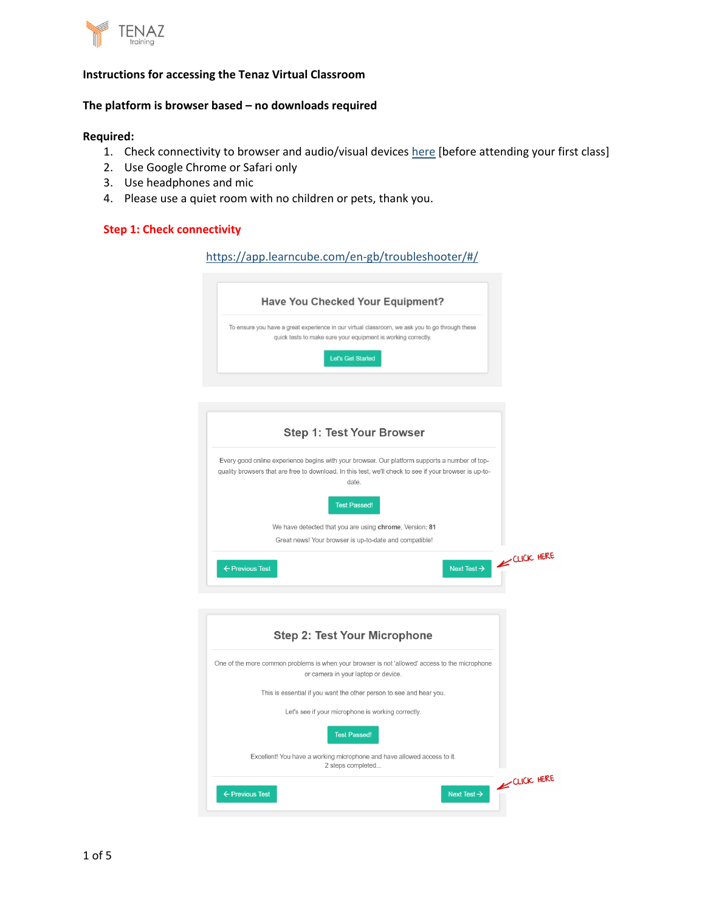

#### **The platform is browser based – no downloads required**

#### **Required:**

- 1. Check connectivity to browser and audio/visual devices [here](https://app.learncube.com/en-gb/troubleshooter/#/) [before attending your first class]
- 2. Use Google Chrome or Safari only
- 3. Use headphones and mic
- 4. Please use a quiet room with no children or pets, thank you.

## **Step 1: Check connectivity**

| https://app.learncube.com/en-gb/troubleshooter/#/                                                                                                                                                                |            |
|------------------------------------------------------------------------------------------------------------------------------------------------------------------------------------------------------------------|------------|
| Have You Checked Your Equipment?                                                                                                                                                                                 |            |
| To ensure you have a great experience in our virtual classroom, we ask you to go through these<br>quick tests to make sure your equipment is working correctly.<br>Let's Get Started                             |            |
| <b>Step 1: Test Your Browser</b>                                                                                                                                                                                 |            |
| Every good online experience begins with your browser. Our platform supports a number of top-<br>quality browsers that are free to download. In this test, we'll check to see if your browser is up-to-<br>date. |            |
| <b>Test Passed!</b><br>We have detected that you are using chrome, Version: 81                                                                                                                                   |            |
| Great news! Your browser is up-to-date and compatible!                                                                                                                                                           |            |
| Next Test $\rightarrow$<br>← Previous Test                                                                                                                                                                       | CLICK HERE |
|                                                                                                                                                                                                                  |            |
| ı Taat Vaux Miaxanban                                                                                                                                                                                            |            |

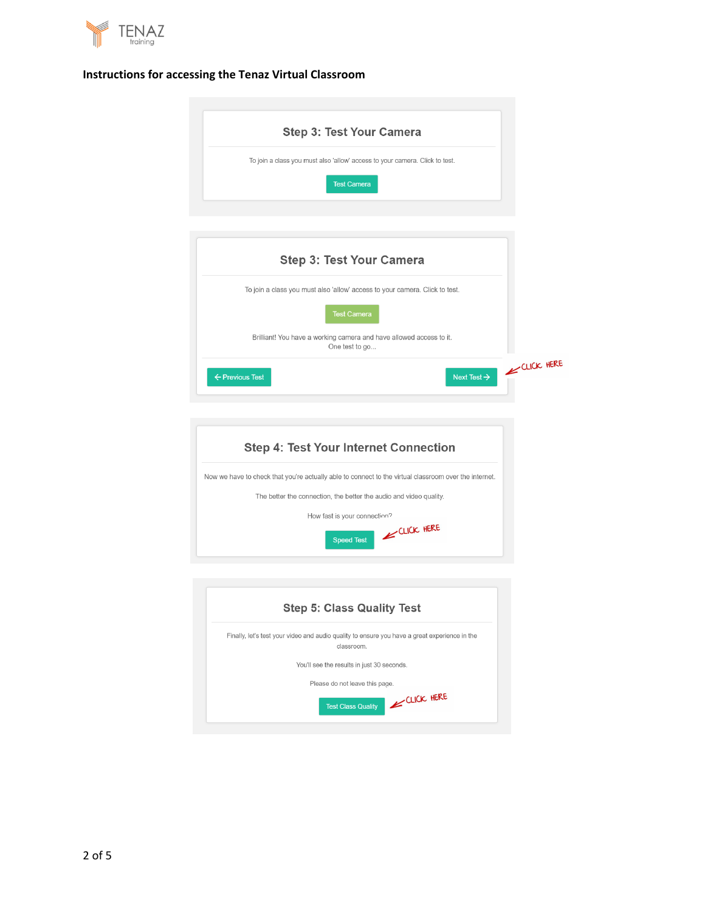





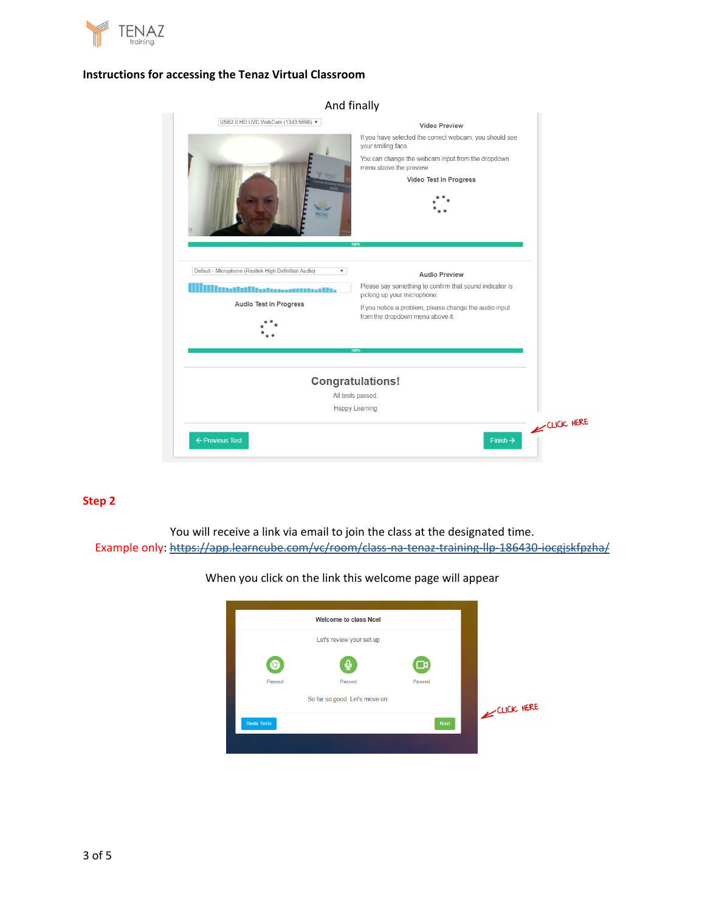

| Aliu Illially                                                                                                                     |                                                                                                                                                                                                                        |            |
|-----------------------------------------------------------------------------------------------------------------------------------|------------------------------------------------------------------------------------------------------------------------------------------------------------------------------------------------------------------------|------------|
| USB2.0 HD UVC WebCam (13d3:5666) ▼<br><b>TENAT</b><br>COC                                                                         | <b>Video Preview</b><br>If you have selected the correct webcam, you should see<br>your smiling face.<br>You can change the webcam input from the dropdown<br>menu above the preview.<br>Video Test in Progress<br>nns |            |
| Default - Microphone (Realtek High Definition Audio)<br>$\overline{\mathbf{v}}$<br>illetterestuureelite<br>Audio Test in Progress | <b>Audio Preview</b><br>Please say something to confirm that sound indicator is<br>picking up your microphone.<br>If you notice a problem, please change the audio input<br>from the dropdown menu above it.<br>100%   |            |
| All tests passed.<br>← Previous Test                                                                                              | <b>Congratulations!</b><br>Happy Learning<br>Finish $\rightarrow$                                                                                                                                                      | CLICK HERE |

### And finally

# **Step 2**

You will receive a link via email to join the class at the designated time. Example only: <https://app.learncube.com/vc/room/class-na-tenaz-training-llp-186430-iocgjskfpzha/>

# When you click on the link this welcome page will appear

| <b>Welcome to class Noel</b>   |                           |
|--------------------------------|---------------------------|
| Let's review your set-up       |                           |
|                                | א∟                        |
| Passed<br>Passed               | Passed                    |
| So far so good. Let's move on. |                           |
| <b>Redo Tests</b>              | CLICK HERE<br><b>Next</b> |
|                                |                           |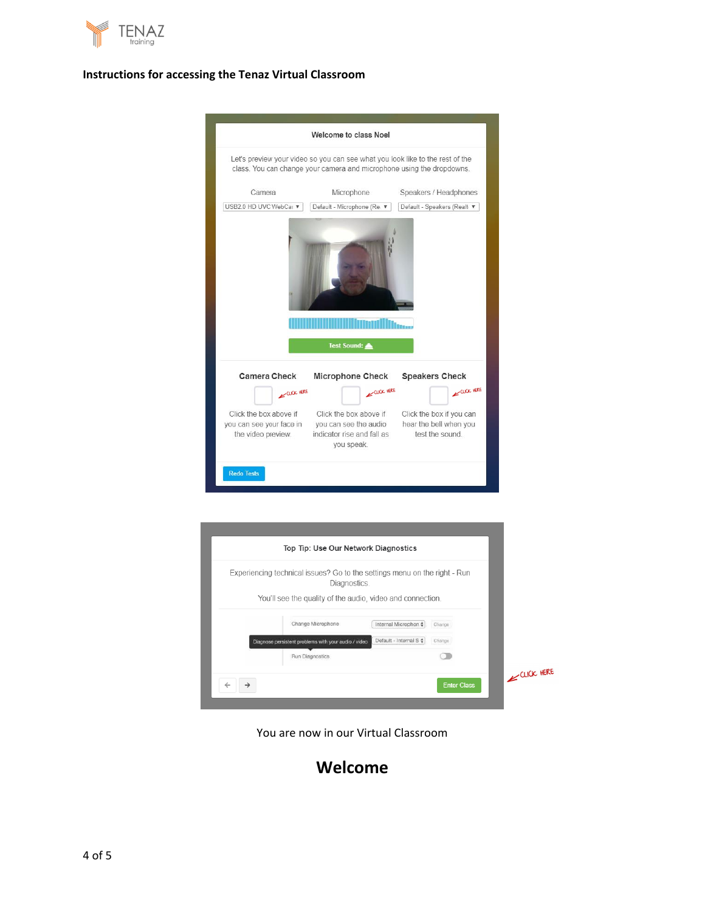



| Top Tip: Use Our Network Diagnostics                                                      |                              |                    |            |
|-------------------------------------------------------------------------------------------|------------------------------|--------------------|------------|
| Experiencing technical issues? Go to the settings menu on the right - Run<br>Diagnostics. |                              |                    |            |
| You'll see the quality of the audio, video and connection.                                |                              |                    |            |
| Change Microphone                                                                         | Internal Microphon $\dagger$ | Change             |            |
| Diagnose persistent problems with your audio / video                                      | Default - Internal S +       | Change             |            |
| Run Diagnostics                                                                           |                              |                    |            |
|                                                                                           |                              |                    | CLICK HERE |
|                                                                                           |                              | <b>Enter Class</b> |            |

You are now in our Virtual Classroom

# **Welcome**